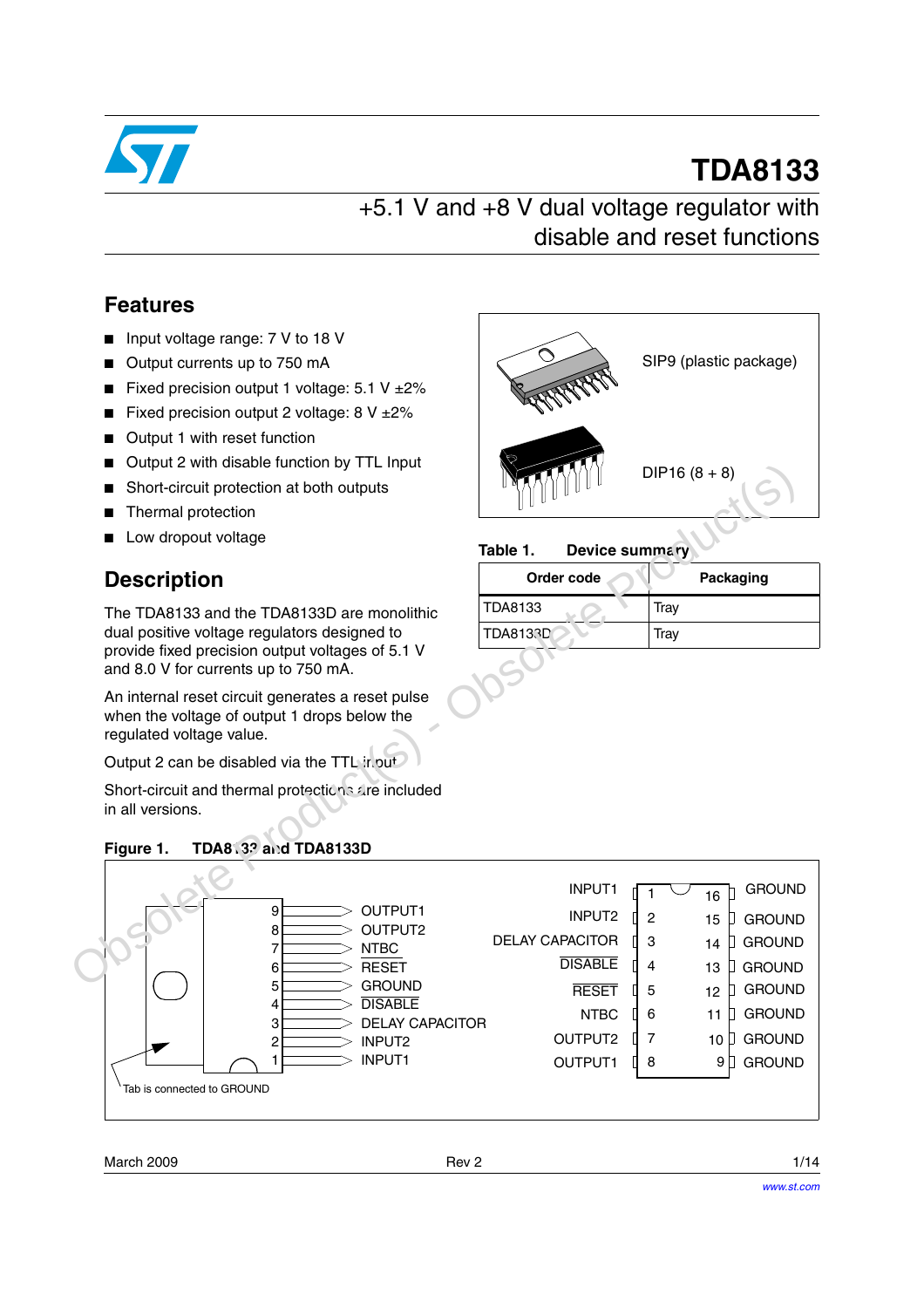

# **TDA8133**

SIP9 (plastic package)

 $DIP16 (8 + 8)$ 

### +5.1 V and +8 V dual voltage regulator with disable and reset functions

**Table 1. Device summary**

TDA8133 Tray TDA8133D Tray

**Order code Packaging** 

### **Features**

- Input voltage range: 7 V to 18 V
- Output currents up to 750 mA
- Fixed precision output 1 voltage:  $5.1$  V  $±2\%$
- Fixed precision output 2 voltage:  $8 \text{ V } \pm 2\%$
- Output 1 with reset function
- Output 2 with disable function by TTL Input
- Short-circuit protection at both outputs
- Thermal protection
- Low dropout voltage

### **Description**

The TDA8133 and the TDA8133D are monolithic dual positive voltage regulators designed to provide fixed precision output voltages of 5.1 V and 8.0 V for currents up to 750 mA.

An internal reset circuit generates a reset pulse when the voltage of output 1 drops below the regulated voltage value.

Output 2 can be disabled via the TTL input

Short-circuit and thermal protections are included in all versions.

### **Figure 1. TDA8133 and TDA8133D**





March 2009 **Rev 2 Rev 2 Rev 2 Rev 2 1/14**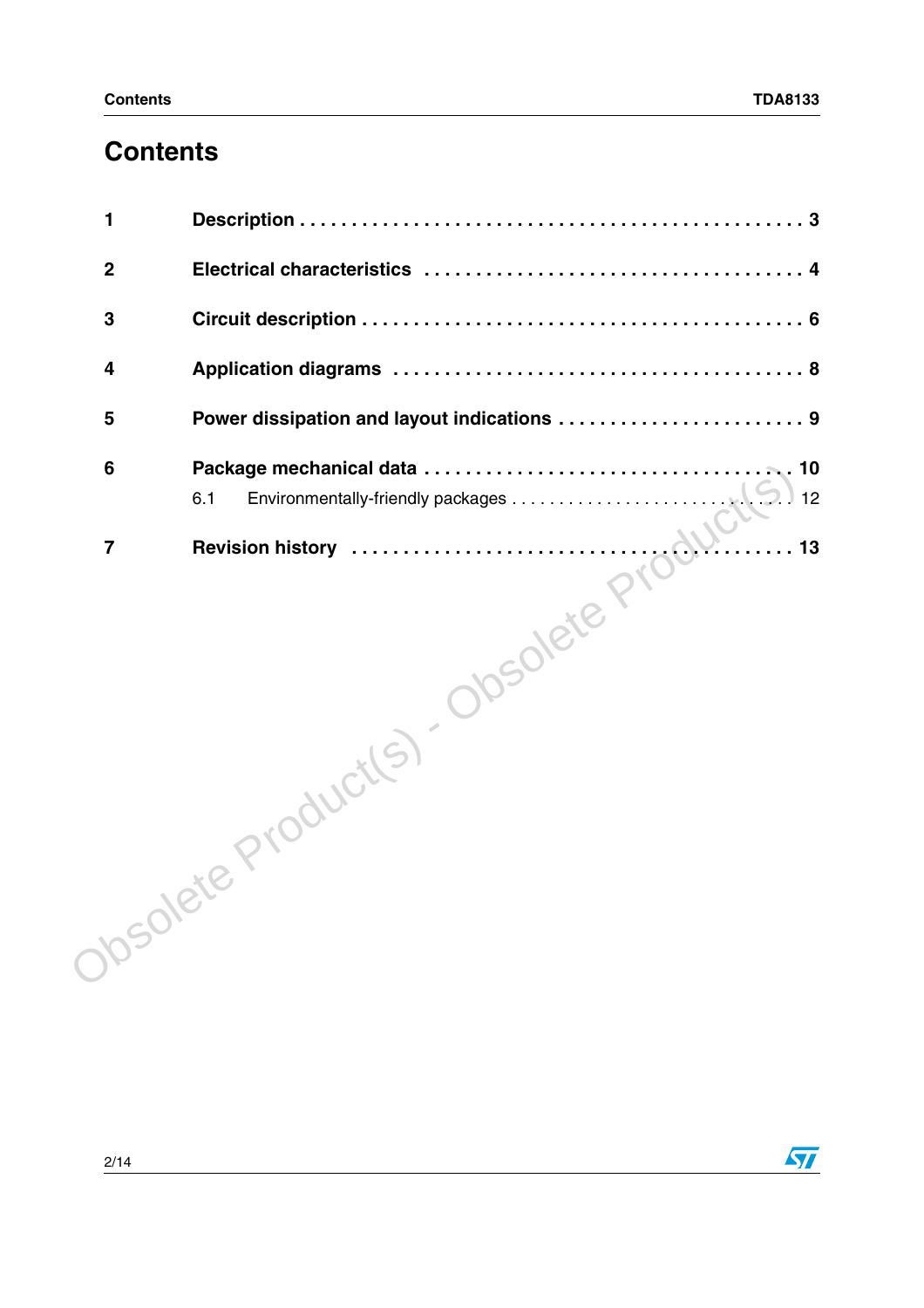### **Contents**

| 1 |    |  |  |  |  |  |
|---|----|--|--|--|--|--|
|   |    |  |  |  |  |  |
|   |    |  |  |  |  |  |
|   |    |  |  |  |  |  |
|   |    |  |  |  |  |  |
|   |    |  |  |  |  |  |
|   | 13 |  |  |  |  |  |
|   |    |  |  |  |  |  |

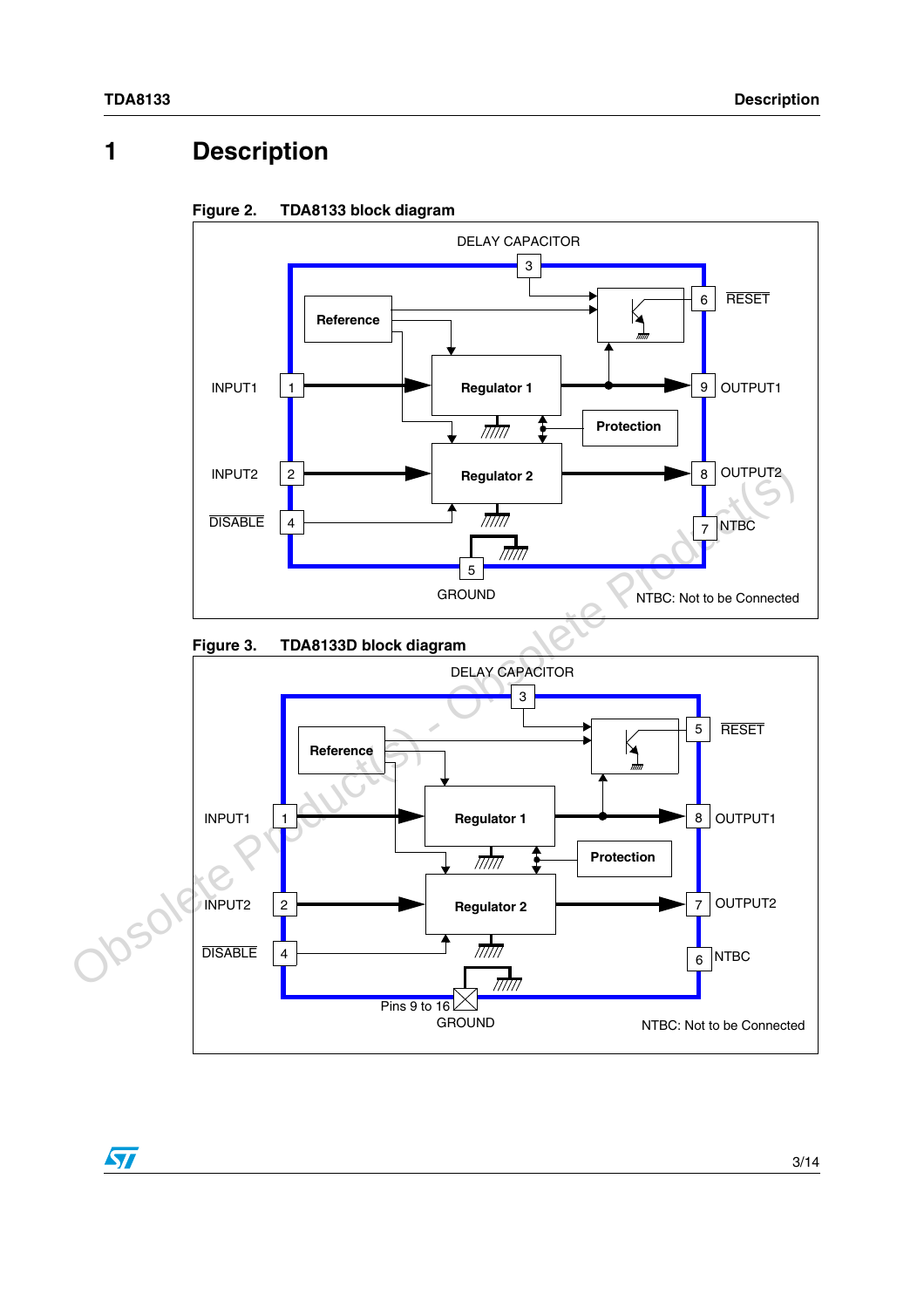### <span id="page-2-0"></span>**1 Description**



#### <span id="page-2-1"></span>**Figure 2. TDA8133 block diagram**

<span id="page-2-2"></span>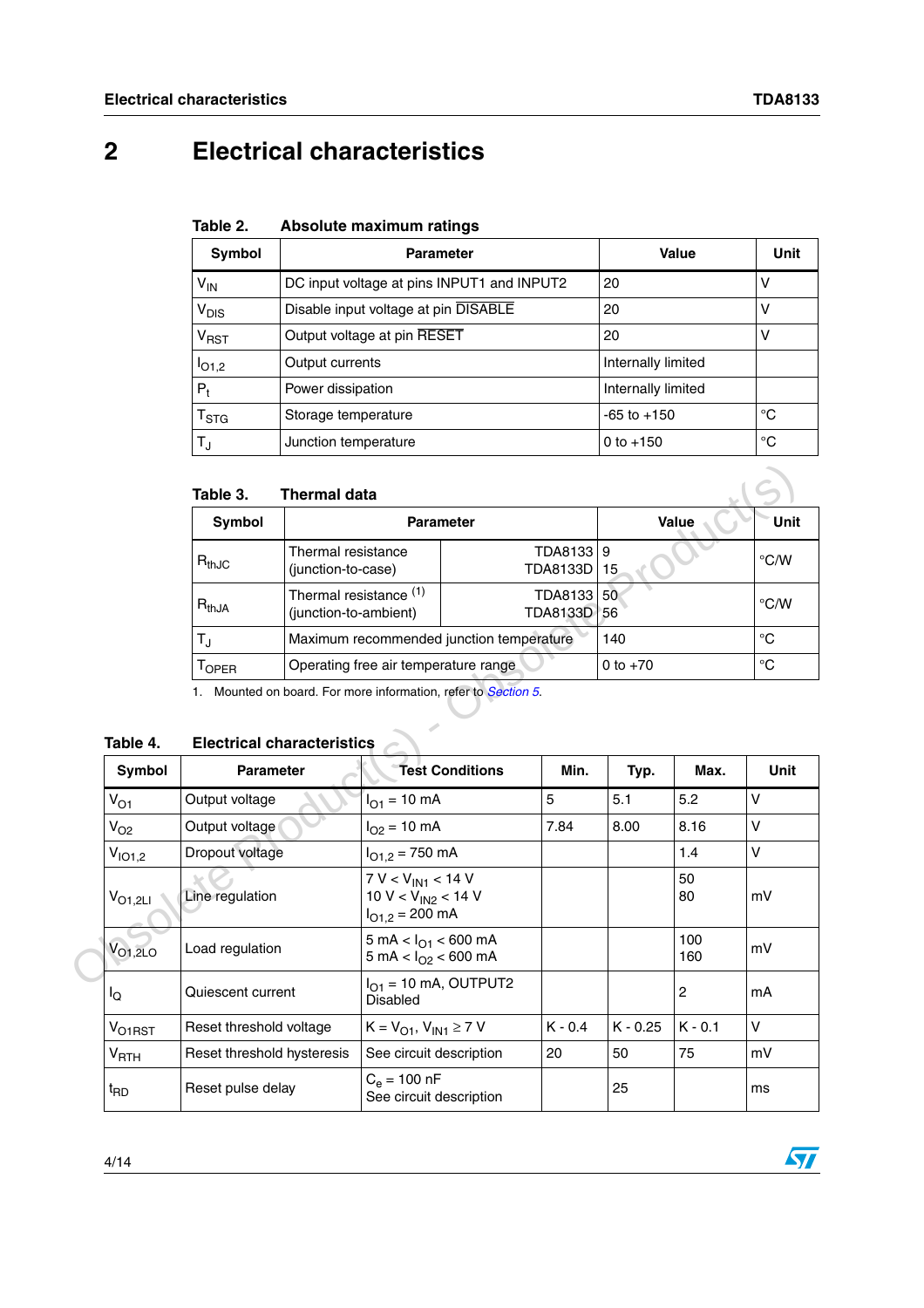## <span id="page-3-0"></span>**2 Electrical characteristics**

| Table 2. |  | Absolute maximum ratings |  |
|----------|--|--------------------------|--|
|----------|--|--------------------------|--|

| Symbol                 | <b>Parameter</b>                           | Value              | Unit |
|------------------------|--------------------------------------------|--------------------|------|
| $V_{IN}$               | DC input voltage at pins INPUT1 and INPUT2 | 20                 | ٧    |
| V <sub>DIS</sub>       | Disable input voltage at pin DISABLE       | 20                 | ٧    |
| <b>V<sub>RST</sub></b> | Output voltage at pin RESET                | 20                 | V    |
| I <sub>O1,2</sub>      | Output currents                            | Internally limited |      |
| $P_{t}$                | Power dissipation                          | Internally limited |      |
| T <sub>STG</sub>       | Storage temperature                        | $-65$ to $+150$    | °C   |
| $T_{\rm J}$            | Junction temperature                       | 0 to $+150$        | °C   |

#### **Table 3. Thermal data**

| iauie J.    | THEITHAI UALA                                   |                            |            |               |
|-------------|-------------------------------------------------|----------------------------|------------|---------------|
| Symbol      |                                                 | <b>Parameter</b>           | Value      | Unit          |
| $R_{thJC}$  | Thermal resistance<br>(junction-to-case)        | TDA8133 9<br>TDA8133D   15 |            | $\degree$ C/W |
| $R_{thJA}$  | Thermal resistance (1)<br>(junction-to-ambient) | TDA8133 50<br>TDA8133D 56  |            | $\degree$ C/W |
| $T_{\rm J}$ | Maximum recommended junction temperature        |                            | 140        | °C            |
| $1$ OPER    | Operating free air temperature range            |                            | 0 to $+70$ | °C            |

# **Table 4. Electrical characteristics**

|                    | Table 3.                          | <b>Thermal data</b>                                        |                                                                          |                                          |                            |            |            |              |
|--------------------|-----------------------------------|------------------------------------------------------------|--------------------------------------------------------------------------|------------------------------------------|----------------------------|------------|------------|--------------|
|                    | <b>Symbol</b>                     |                                                            | <b>Parameter</b>                                                         |                                          |                            |            | Value      | <b>Unit</b>  |
|                    | $R_{thJC}$                        | Thermal resistance<br>(junction-to-case)                   |                                                                          |                                          | TDA8133<br><b>TDA8133D</b> | 9<br>15    |            | °C/W         |
|                    | $R_{thJA}$                        | Thermal resistance <sup>(1)</sup><br>(junction-to-ambient) |                                                                          |                                          | TDA8133<br><b>TDA8133D</b> | 50<br>56   |            | °C/W         |
|                    | $T_{\text{J}}$                    |                                                            |                                                                          | Maximum recommended junction temperature |                            | 140        |            | $^{\circ}C$  |
|                    | $T_{\rm OPER}$                    |                                                            | Operating free air temperature range                                     |                                          |                            | 0 to $+70$ |            | $^{\circ}$ C |
| Table 4.           | <b>Electrical characteristics</b> |                                                            |                                                                          |                                          |                            |            |            |              |
| <b>Symbol</b>      | <b>Parameter</b>                  |                                                            |                                                                          | <b>Test Conditions</b>                   | Min.                       | Typ.       | Max.       | <b>Unit</b>  |
| $V_{O1}$           | Output voltage                    |                                                            | $I_{O1} = 10$ mA                                                         |                                          | 5                          | 5.1        | 5.2        | V            |
| $V_{O2}$           | Output voltage                    |                                                            | $I_{O2} = 10 \text{ mA}$                                                 |                                          | 7.84                       | 8.00       | 8.16       | $\vee$       |
| V <sub>IO1,2</sub> | Dropout voltage                   |                                                            | $I_{O1.2} = 750$ mA                                                      |                                          |                            |            | 1.4        | $\vee$       |
| $V_{O1,2LI}$       | Line regulation                   |                                                            | $7 V < V_{IN1} < 14 V$<br>10 V < $V_{IN2}$ < 14 V<br>$I_{O1.2} = 200$ mA |                                          |                            |            | 50<br>80   | mV           |
| $V_{O1,2LO}$       | Load regulation                   |                                                            | 5 mA < $I_{O1}$ < 600 mA<br>5 mA < $I_{O2}$ < 600 mA                     |                                          |                            |            | 100<br>160 | mV           |
| lo                 | Quiescent current                 |                                                            | $IO1$ = 10 mA, OUTPUT2<br><b>Disabled</b>                                |                                          |                            |            | 2          | mA           |
| V <sub>O1RST</sub> | Reset threshold voltage           |                                                            | $K = V_{O1}$ , $V_{IN1} \ge 7$ V                                         |                                          | $K - 0.4$                  | $K - 0.25$ | $K - 0.1$  | $\vee$       |
| V <sub>RTH</sub>   | Reset threshold hysteresis        |                                                            |                                                                          | 20<br>See circuit description            |                            | 50         | 75         | mV           |
| t <sub>RD</sub>    | Reset pulse delay                 |                                                            | $C_e = 100$ nF<br>See circuit description                                |                                          |                            | 25         |            | ms           |

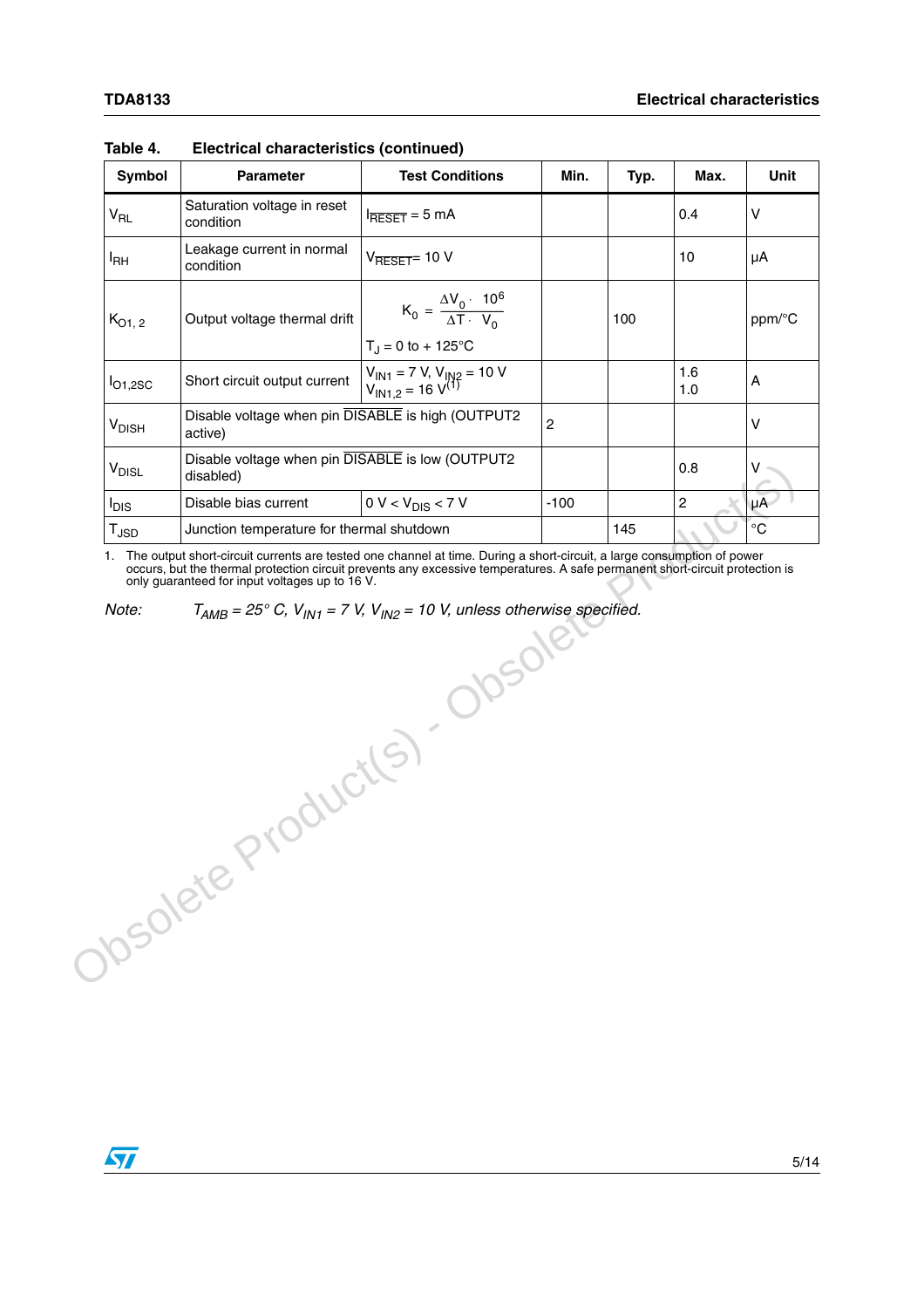| Symbol                      | <b>Parameter</b>                                              | <b>Test Conditions</b>                                                           | Min.           | Typ. | Max.           | Unit              |
|-----------------------------|---------------------------------------------------------------|----------------------------------------------------------------------------------|----------------|------|----------------|-------------------|
| $V_{RL}$                    | Saturation voltage in reset<br>condition                      | $I_{\overline{\text{RESET}}} = 5 \text{ mA}$                                     |                |      | 0.4            | V                 |
| <sup>I</sup> RH             | Leakage current in normal<br>condition                        | $V_{\overline{\text{RESET}}}$ 10 V                                               |                |      | 10             | μA                |
| $K_{O1, 2}$                 | Output voltage thermal drift                                  | $K_0 = \frac{\Delta V_0 \cdot 10^6}{\Delta T \cdot V_0}$<br>$T_J = 0$ to + 125°C |                | 100  |                | ppm/°C            |
| $I_{O1,2SC}$                | Short circuit output current                                  | $V_{IN1} = 7 V, V_{IN2} = 10 V$<br>$V_{IN1,2} = 16 V^{(1)}$                      |                |      | 1.6<br>1.0     | Α                 |
| <b>V<sub>DISH</sub></b>     | Disable voltage when pin DISABLE is high (OUTPUT2<br>active)  |                                                                                  | $\overline{c}$ |      |                | $\vee$            |
| <b>V<sub>DISL</sub></b>     | Disable voltage when pin DISABLE is low (OUTPUT2<br>disabled) |                                                                                  |                | 0.8  | v              |                   |
| <sup>I</sup> DIS            | Disable bias current                                          | $0 V < V_{DIS} < 7 V$                                                            | $-100$         |      | $\overline{c}$ | $\mu\overline{A}$ |
| $\mathsf{T}_{\mathsf{JSD}}$ | Junction temperature for thermal shutdown                     |                                                                                  |                | 145  |                | $^{\circ}C$       |
|                             |                                                               | J-ODSOLS                                                                         |                |      |                |                   |
|                             | Obsolete Product(s)                                           |                                                                                  |                |      |                |                   |
|                             |                                                               |                                                                                  |                |      |                |                   |

#### **Table 4. Electrical characteristics (continued)**

 $\sqrt{2}$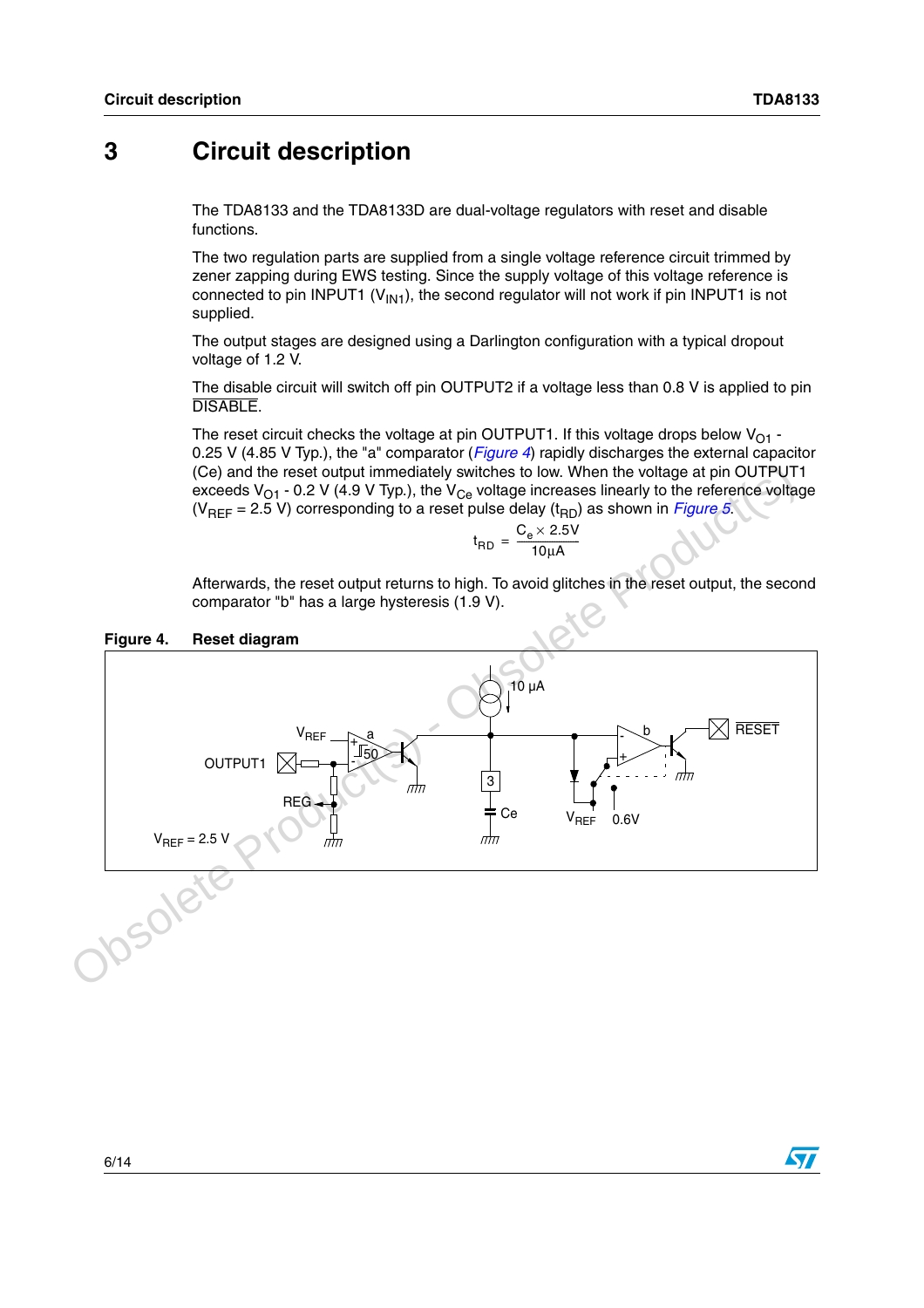### <span id="page-5-0"></span>**3 Circuit description**

The TDA8133 and the TDA8133D are dual-voltage regulators with reset and disable functions.

The two regulation parts are supplied from a single voltage reference circuit trimmed by zener zapping during EWS testing. Since the supply voltage of this voltage reference is connected to pin INPUT1 ( $V_{\text{IN1}}$ ), the second regulator will not work if pin INPUT1 is not supplied.

The output stages are designed using a Darlington configuration with a typical dropout voltage of 1.2 V.

The disable circuit will switch off pin OUTPUT2 if a voltage less than 0.8 V is applied to pin DISABLE.

The reset circuit checks the voltage at pin OUTPUT1. If this voltage drops below  $V_{O1}$  -0.25 V (4.85 V Typ.), the "a" comparator (*[Figure 4](#page-5-1)*) rapidly discharges the external capacitor (Ce) and the reset output immediately switches to low. When the voltage at pin OUTPUT1 exceeds  $V_{O1}$  - 0.2 V (4.9 V Typ.), the  $V_{Ce}$  voltage increases linearly to the reference voltage ( $V_{REF}$  = 2.5 V) corresponding to a reset pulse delay ( $t_{RD}$ ) as shown in *Figure 5*.

$$
t_{RD} = \frac{C_e \times 2.5V}{10 \mu A}
$$

Afterwards, the reset output returns to high. To avoid glitches in the reset output, the second comparator "b" has a large hysteresis (1.9 V).

<span id="page-5-1"></span>



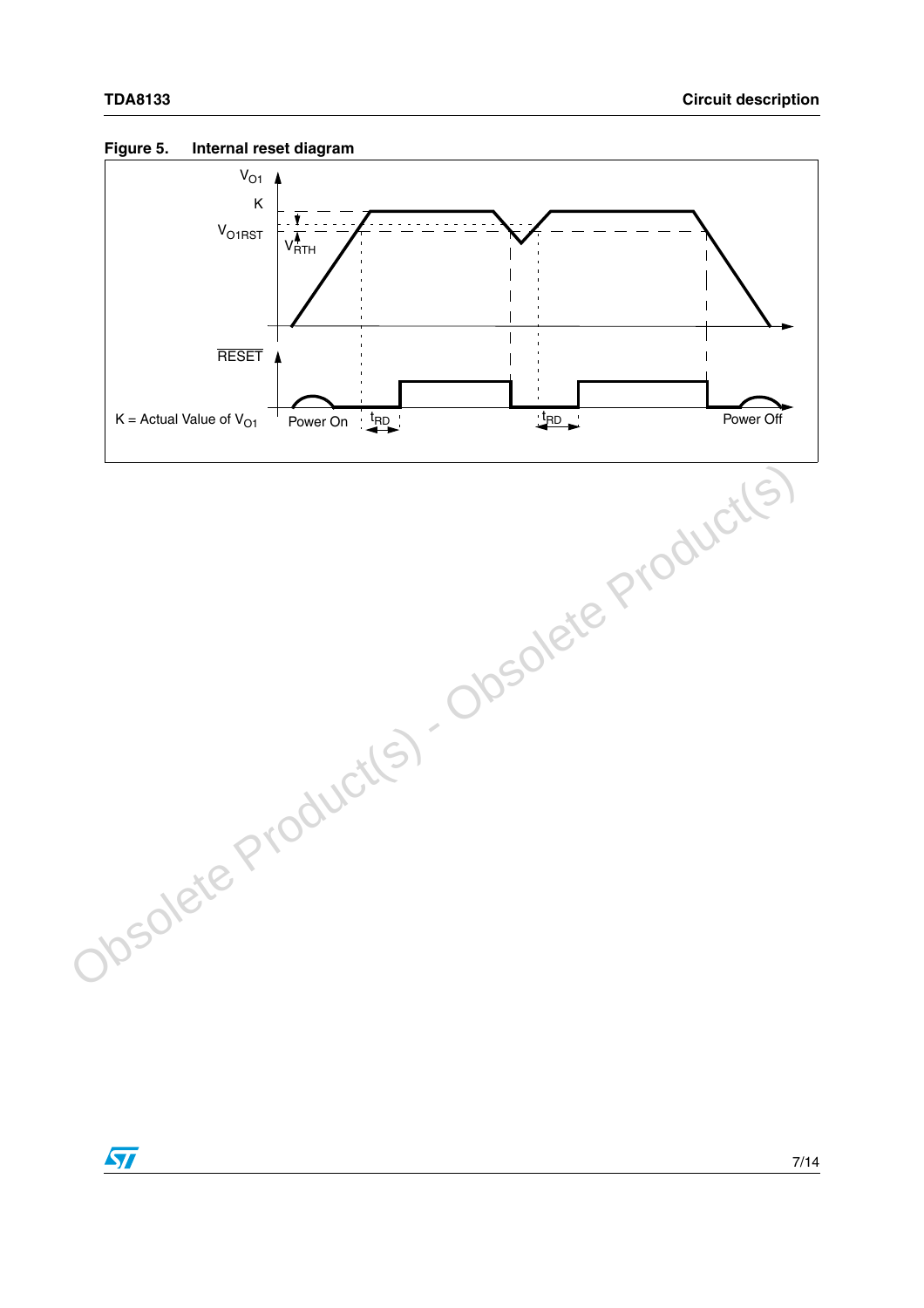

### <span id="page-6-0"></span>**Figure 5. Internal reset diagram**

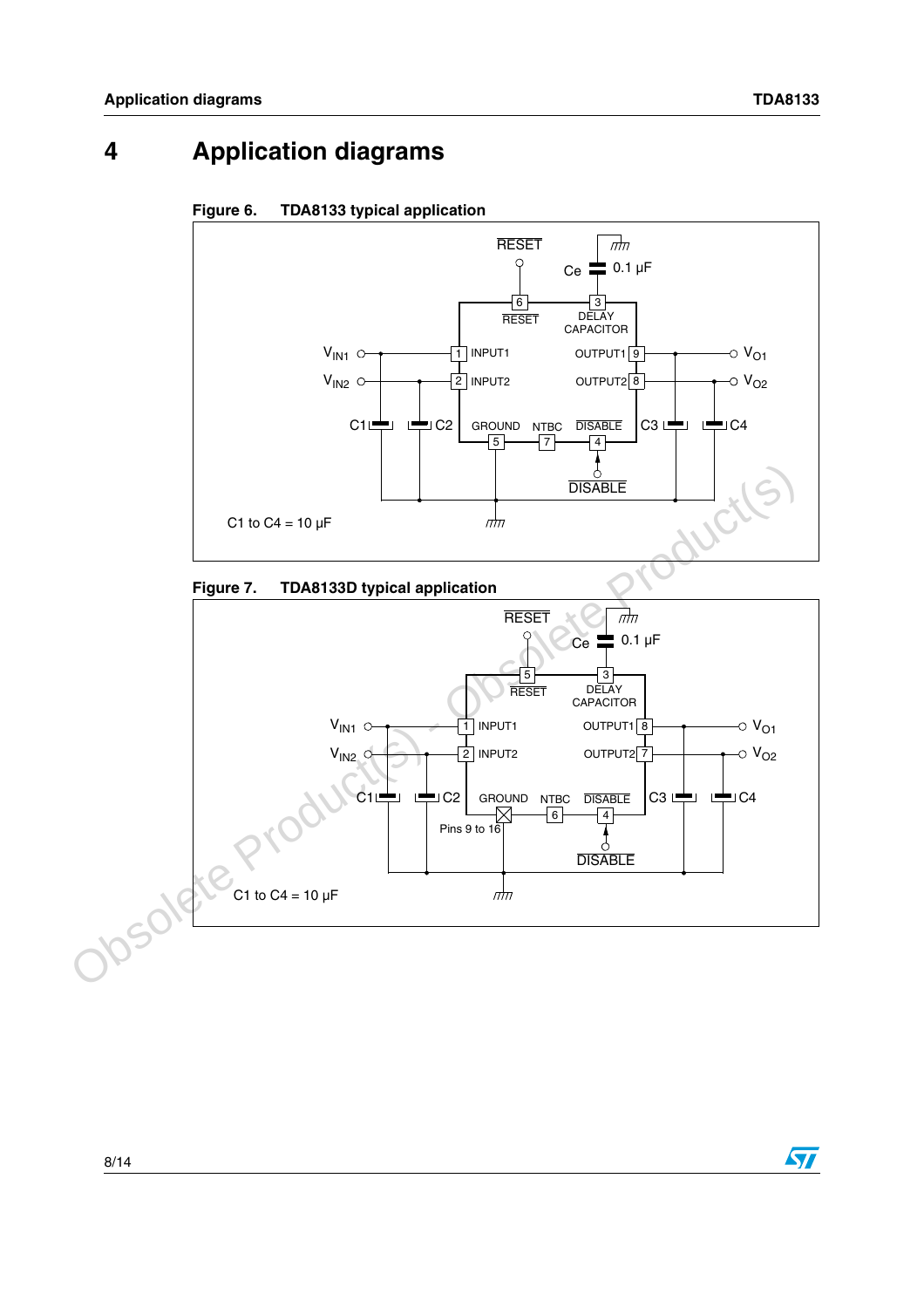### <span id="page-7-0"></span>**4 Application diagrams**









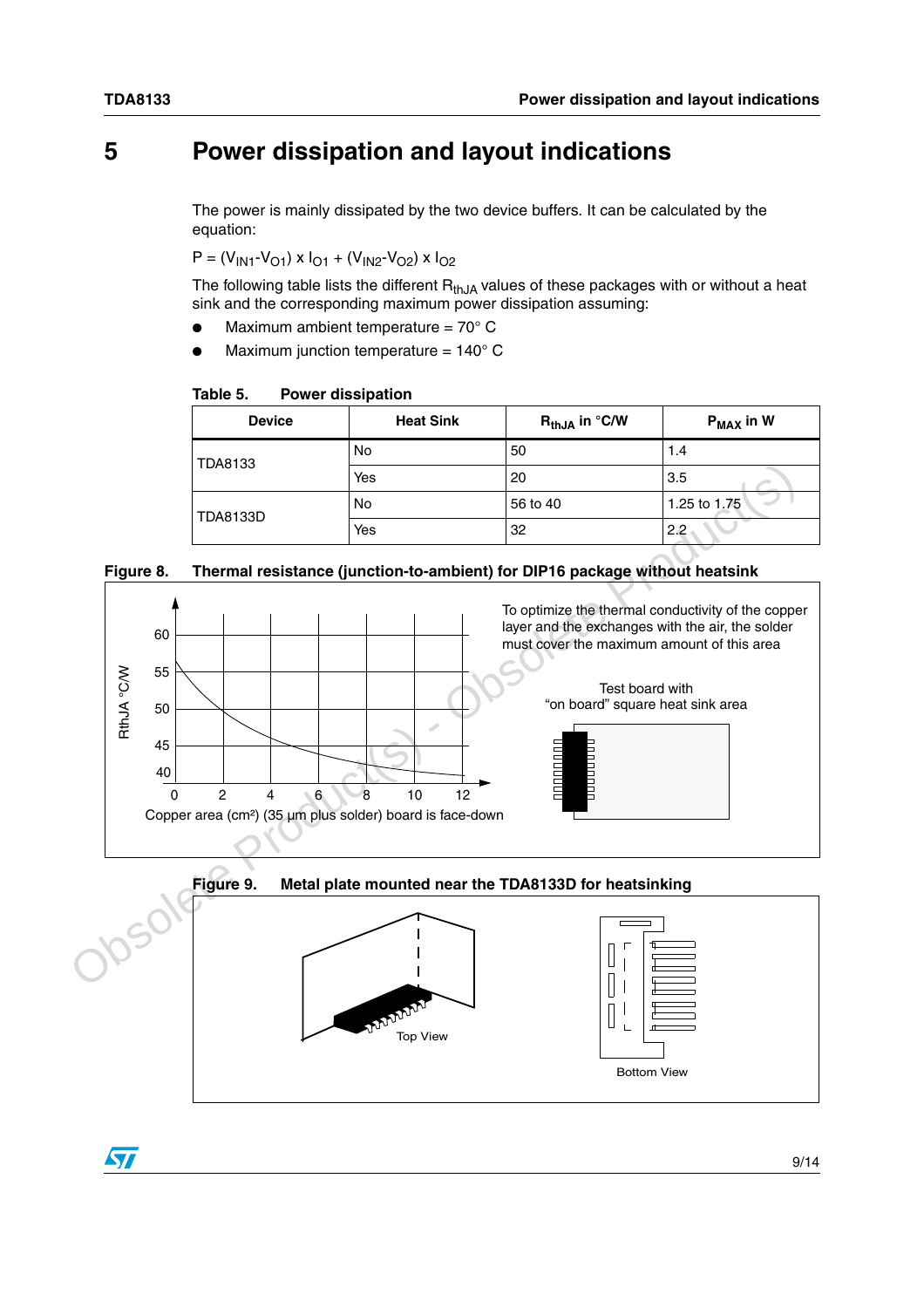$\sqrt{}$ 

### <span id="page-8-0"></span>**5 Power dissipation and layout indications**

The power is mainly dissipated by the two device buffers. It can be calculated by the equation:

 $P = (V_{1N1} - V_{O1}) \times I_{O1} + (V_{1N2} - V_{O2}) \times I_{O2}$ 

The following table lists the different  $R_{thJA}$  values of these packages with or without a heat sink and the corresponding maximum power dissipation assuming:

- Maximum ambient temperature =  $70^{\circ}$  C
- Maximum junction temperature =  $140^{\circ}$  C

**Table 5. Power dissipation**

| <b>Device</b> | <b>Heat Sink</b> | $\mathsf{R}_{\mathsf{thJA}}$ in $^\circ$ C/W | $\mathsf{P}_{\textsf{MAX}}$ in W |
|---------------|------------------|----------------------------------------------|----------------------------------|
| TDA8133       | No               | 50                                           | 1.4                              |
|               | Yes              | 20                                           | 3.5                              |
| TDA8133D      | No               | 56 to 40                                     | 1.25 to 1.75                     |
|               | Yes              | 32                                           | 2.2                              |

#### **Figure 8. Thermal resistance (junction-to-ambient) for DIP16 package without heatsink**





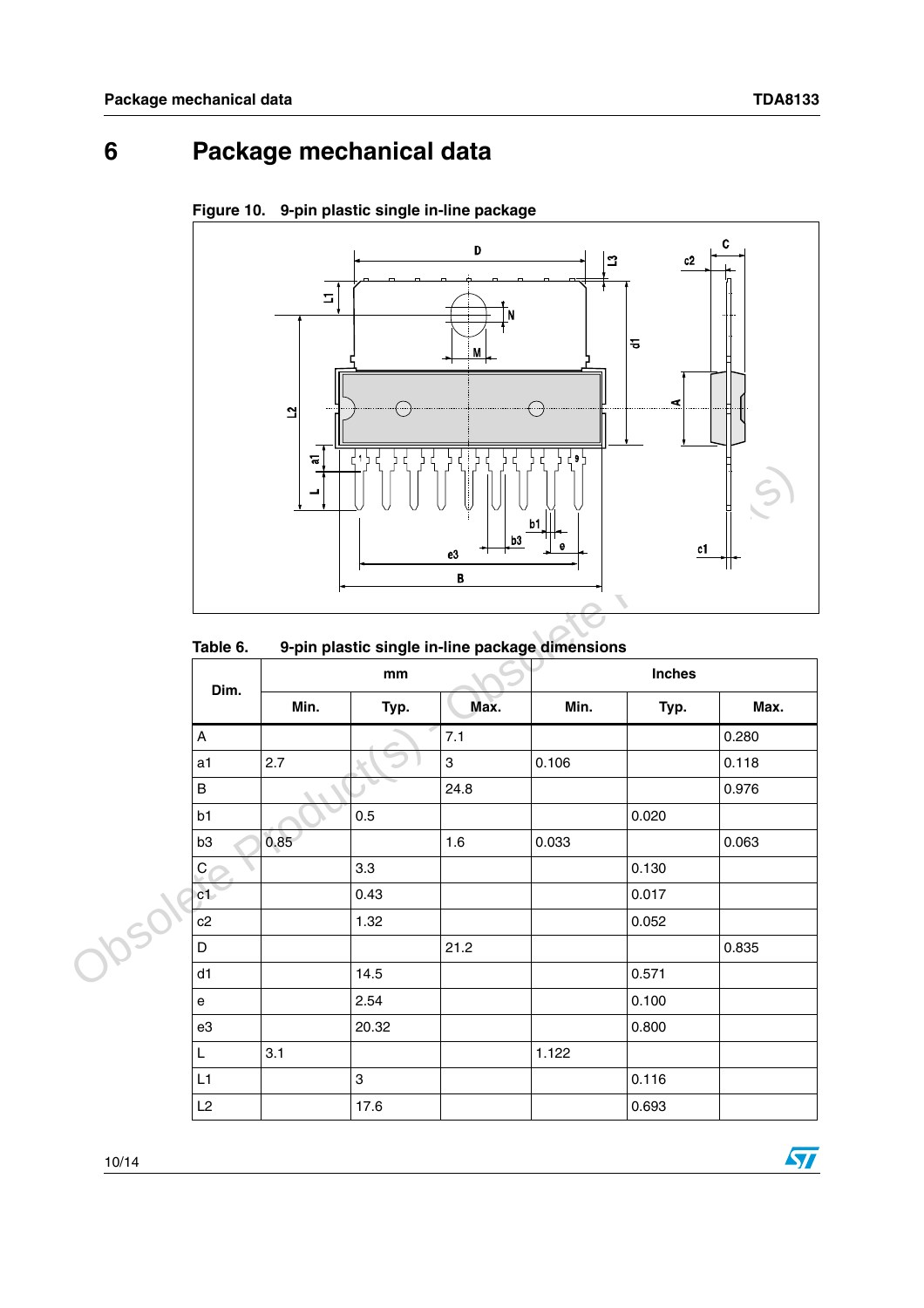$\sqrt{2}$ 

## <span id="page-9-0"></span>**6 Package mechanical data**



**Figure 10. 9-pin plastic single in-line package**

### **Table 6. 9-pin plastic single in-line package dimensions**

|           |                           | ┙    |                               | b <sub>3</sub><br>${\bf e}3$<br>$\, {\bf B}$ | b1<br>e                                         | c1            |       |
|-----------|---------------------------|------|-------------------------------|----------------------------------------------|-------------------------------------------------|---------------|-------|
|           | Table 6.                  |      |                               |                                              | 9-pin plastic single in-line package dimensions |               |       |
|           | Dim.                      |      | $\mathop{\text{mm}}\nolimits$ |                                              |                                                 | <b>Inches</b> |       |
|           |                           | Min. | Typ.                          | Max.                                         | Min.                                            | Typ.          | Max.  |
|           | $\boldsymbol{\mathsf{A}}$ |      |                               | 7.1                                          |                                                 |               | 0.280 |
|           | a <sub>1</sub>            | 2.7  |                               | 3                                            | 0.106                                           |               | 0.118 |
|           | $\sf{B}$                  |      |                               | 24.8                                         |                                                 |               | 0.976 |
|           | b1                        |      | 0.5                           |                                              |                                                 | 0.020         |       |
|           | b <sub>3</sub>            | 0.85 |                               | 1.6                                          | 0.033                                           |               | 0.063 |
|           | $\mathsf{C}$              |      | 3.3                           |                                              |                                                 | 0.130         |       |
|           | c1                        |      | 0.43                          |                                              |                                                 | 0.017         |       |
| <b>SI</b> | c2                        |      | 1.32                          |                                              |                                                 | 0.052         |       |
|           | D                         |      |                               | 21.2                                         |                                                 |               | 0.835 |
|           | d1                        |      | 14.5                          |                                              |                                                 | 0.571         |       |
|           | $\mathsf{e}\,$            |      | 2.54                          |                                              |                                                 | 0.100         |       |
|           | e3                        |      | 20.32                         |                                              |                                                 | 0.800         |       |
|           | L                         | 3.1  |                               |                                              | 1.122                                           |               |       |
|           | L1                        |      | 3                             |                                              |                                                 | 0.116         |       |
|           | L2                        |      | 17.6                          |                                              |                                                 | 0.693         |       |

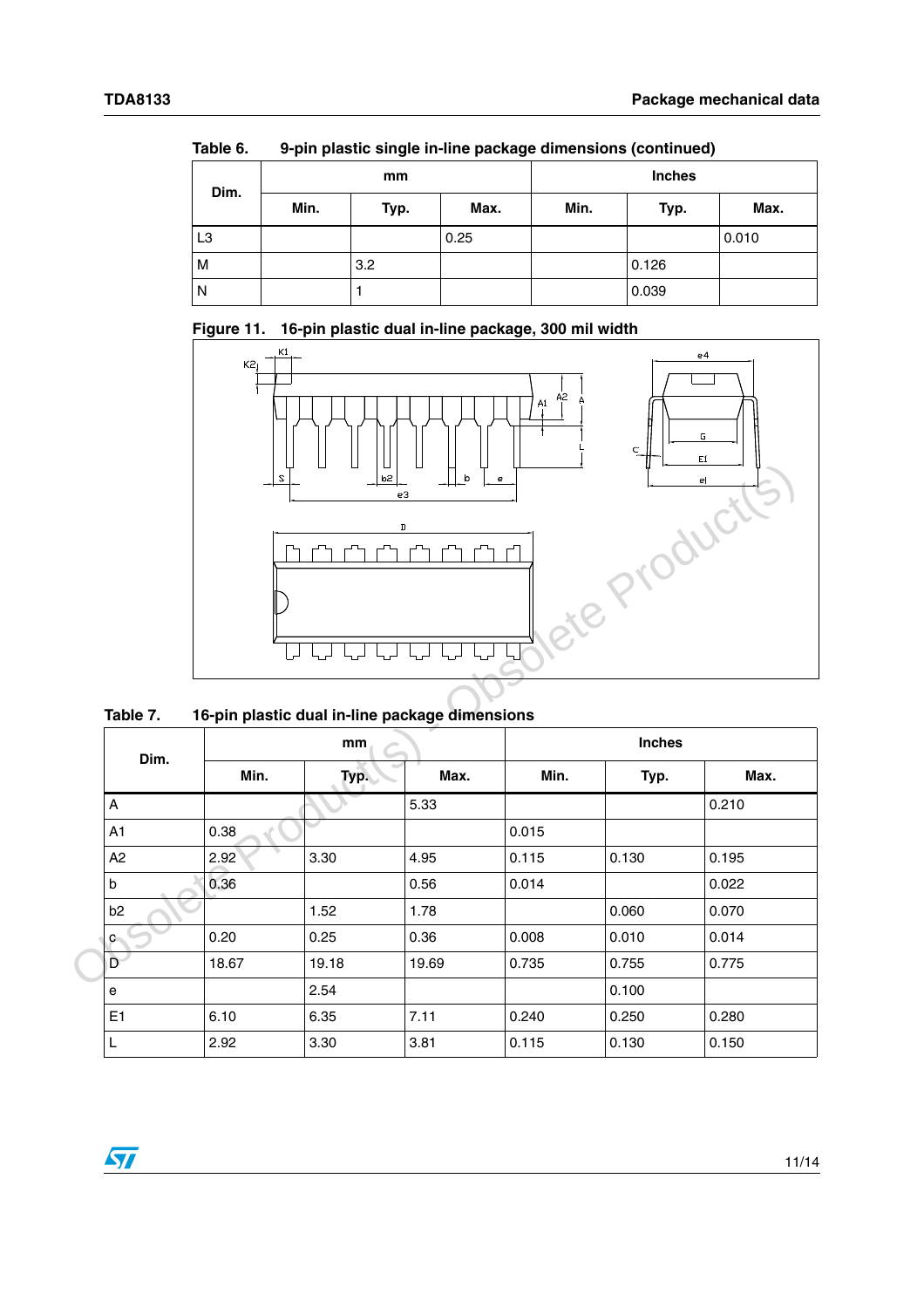| iuwit v.       |      |      |      | <u>Upin plastic single in time package uniferisions (commuca)</u> |               |       |  |
|----------------|------|------|------|-------------------------------------------------------------------|---------------|-------|--|
| Dim.           |      | mm   |      |                                                                   | <b>Inches</b> |       |  |
|                | Min. | Typ. | Max. | Min.                                                              | Typ.          | Max.  |  |
| L <sub>3</sub> |      |      | 0.25 |                                                                   |               | 0.010 |  |
| M              |      | 3.2  |      |                                                                   | 0.126         |       |  |
| $\overline{N}$ |      |      |      |                                                                   | 0.039         |       |  |

**Table 6. 9-pin plastic single in-line package dimensions (continued)**





**Table 7. 16-pin plastic dual in-line package dimensions**

| Dim.           | ₹<br>mm |       |       | <b>Inches</b> |       |       |
|----------------|---------|-------|-------|---------------|-------|-------|
|                | Min.    | Typ.  | Max.  | Min.          | Typ.  | Max.  |
| $\Lambda$      |         |       | 5.33  |               |       | 0.210 |
| A <sub>1</sub> | 0.38    |       |       | 0.015         |       |       |
| A2             | 2.92    | 3.30  | 4.95  | 0.115         | 0.130 | 0.195 |
| $\sf b$        | 0.36    |       | 0.56  | 0.014         |       | 0.022 |
| b <sub>2</sub> |         | 1.52  | 1.78  |               | 0.060 | 0.070 |
| $\mathbf{C}$   | 0.20    | 0.25  | 0.36  | 0.008         | 0.010 | 0.014 |
| $\mathsf{D}^-$ | 18.67   | 19.18 | 19.69 | 0.735         | 0.755 | 0.775 |
| e              |         | 2.54  |       |               | 0.100 |       |
| E1             | 6.10    | 6.35  | 7.11  | 0.240         | 0.250 | 0.280 |
| L              | 2.92    | 3.30  | 3.81  | 0.115         | 0.130 | 0.150 |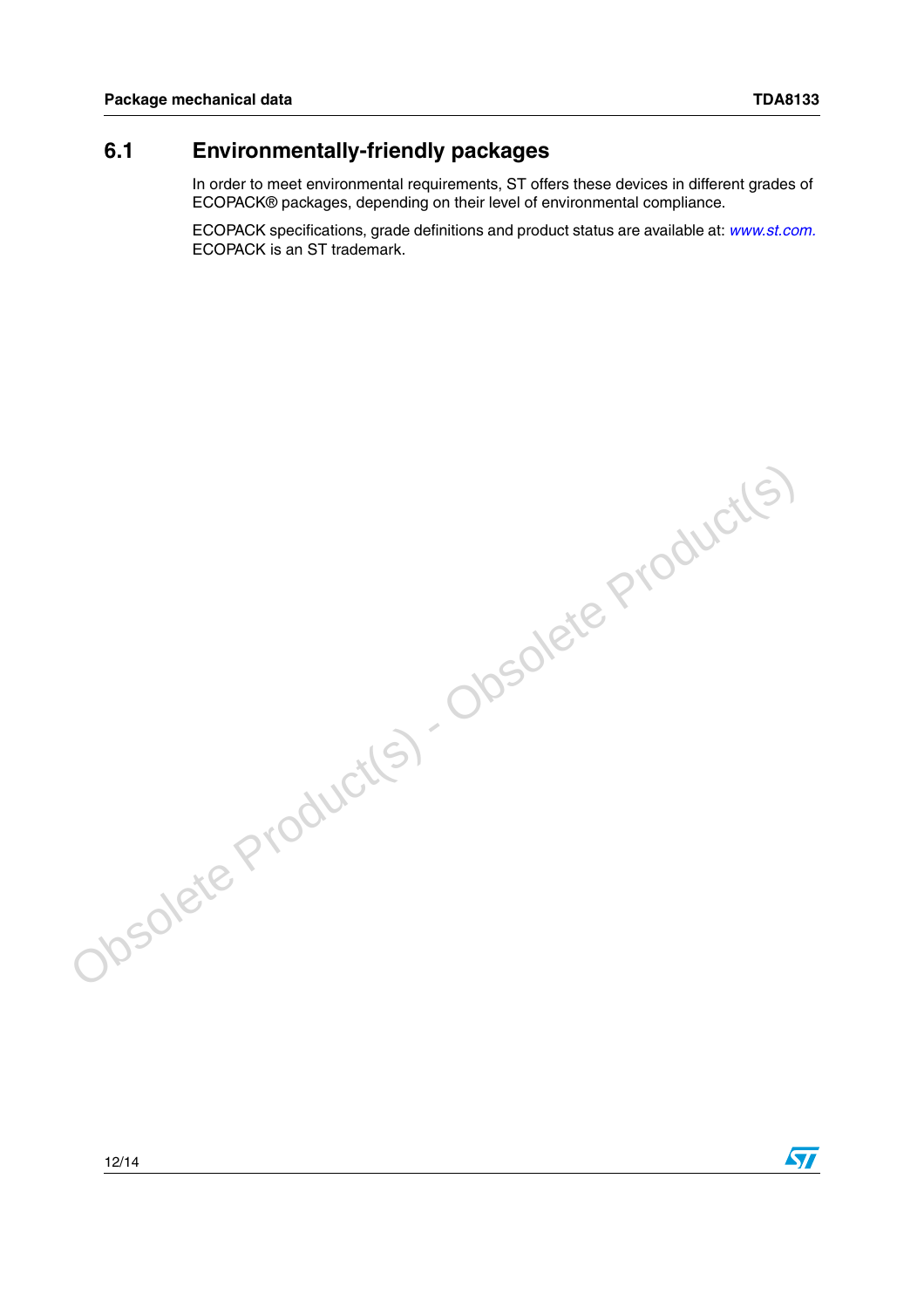### <span id="page-11-0"></span>**6.1 Environmentally-friendly packages**

In order to meet environmental requirements, ST offers these devices in different grades of ECOPACK® packages, depending on their level of environmental compliance.

ECOPACK specifications, grade definitions and product status are available at: *[www.st.com.](http://www.st.com)*  ECOPACK is an ST trademark.

Obsolete Product(s) - Obsolete Product(s)

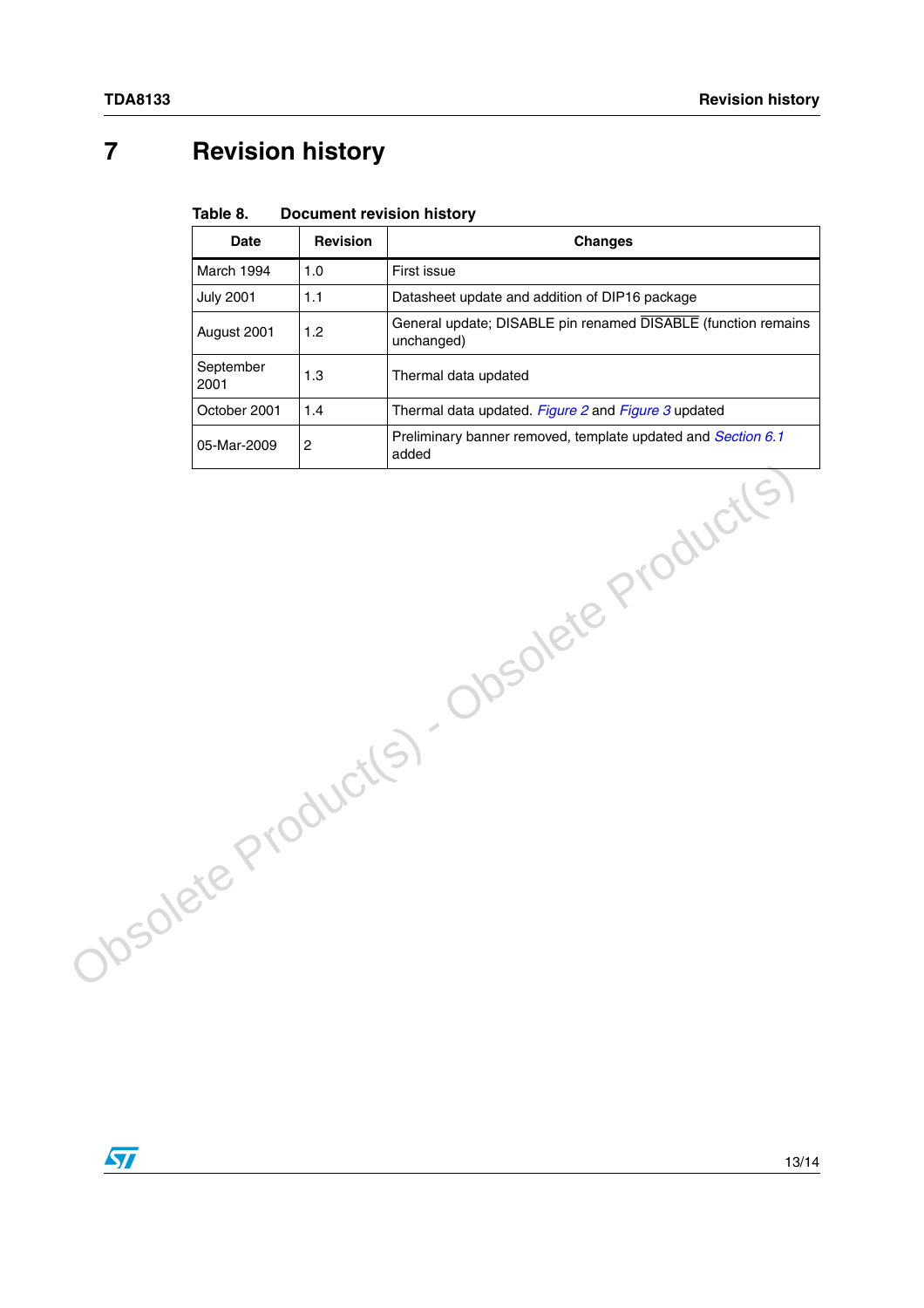### <span id="page-12-0"></span>**7 Revision history**

#### Table 8. **Document revision history**

|  | <b>Date</b>       | <b>Revision</b> | <b>Changes</b>                                                              |
|--|-------------------|-----------------|-----------------------------------------------------------------------------|
|  | March 1994        | 1.0             | First issue                                                                 |
|  | <b>July 2001</b>  | 1.1             | Datasheet update and addition of DIP16 package                              |
|  | August 2001       | 1.2             | General update; DISABLE pin renamed DISABLE (function remains<br>unchanged) |
|  | September<br>2001 | 1.3             | Thermal data updated                                                        |
|  | October 2001      | 1.4             | Thermal data updated. Figure 2 and Figure 3 updated                         |
|  | 05-Mar-2009       | $\overline{c}$  | Preliminary banner removed, template updated and Section 6.1<br>added       |
|  |                   |                 | 10solete Product(s) - Obsolete Product(s)                                   |